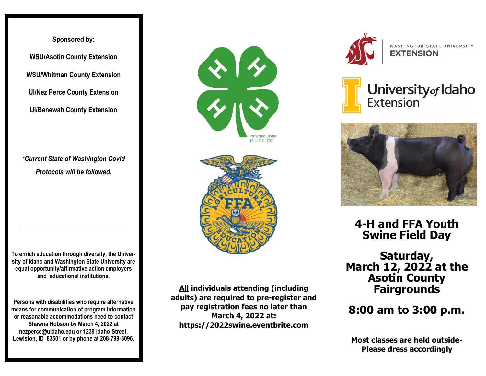**Sponsored by: WSU/Asotin County Extension WSU/Whitman County Extension UI/Nez Perce County Extension UI/Benewah County Extension**

*\*Current State of Washington Covid Protocols will be followed.*

**To enrich education through diversity, the University of Idaho and Washington State University are equal opportunity/affirmative action employers and educational institutions.**

**Persons with disabilities who require alternative means for communication of program information or reasonable accommodations need to contact Shawna Hobson by March 4, 2022 at nezperce@uidaho.edu or 1239 Idaho Street, Lewiston, ID 83501 or by phone at 208-799-3096.**





**All individuals attending (including adults) are required to pre-register and pay registration fees no later than March 4, 2022 at: https://2022swine.eventbrite.com**



WASHINGTON STATE UNIVERSITY **EXTENSION** 





**4-H and FFA Youth Swine Field Day**

**Saturday, March 12, 2022 at the Asotin County Fairgrounds**

**8:00 am to 3:00 p.m.**

**Most classes are held outside-Please dress accordingly**